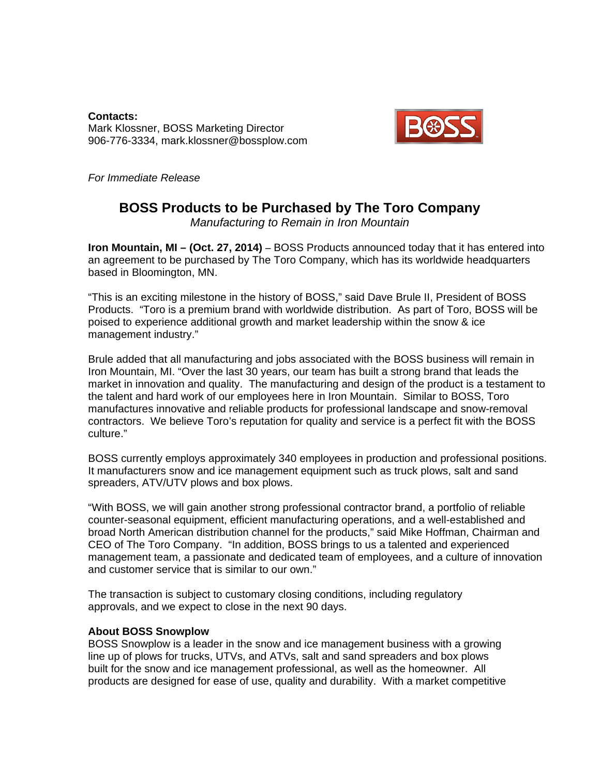**Contacts:**  Mark Klossner, BOSS Marketing Director 906-776-3334, mark.klossner@bossplow.com



*For Immediate Release* 

## **BOSS Products to be Purchased by The Toro Company**

*Manufacturing to Remain in Iron Mountain* 

**Iron Mountain, MI – (Oct. 27, 2014) –** BOSS Products announced today that it has entered into an agreement to be purchased by The Toro Company, which has its worldwide headquarters based in Bloomington, MN.

"This is an exciting milestone in the history of BOSS," said Dave Brule II, President of BOSS Products. "Toro is a premium brand with worldwide distribution. As part of Toro, BOSS will be poised to experience additional growth and market leadership within the snow & ice management industry."

Brule added that all manufacturing and jobs associated with the BOSS business will remain in Iron Mountain, MI. "Over the last 30 years, our team has built a strong brand that leads the market in innovation and quality. The manufacturing and design of the product is a testament to the talent and hard work of our employees here in Iron Mountain. Similar to BOSS, Toro manufactures innovative and reliable products for professional landscape and snow-removal contractors. We believe Toro's reputation for quality and service is a perfect fit with the BOSS culture."

BOSS currently employs approximately 340 employees in production and professional positions. It manufacturers snow and ice management equipment such as truck plows, salt and sand spreaders, ATV/UTV plows and box plows.

"With BOSS, we will gain another strong professional contractor brand, a portfolio of reliable counter-seasonal equipment, efficient manufacturing operations, and a well-established and broad North American distribution channel for the products," said Mike Hoffman, Chairman and CEO of The Toro Company. "In addition, BOSS brings to us a talented and experienced management team, a passionate and dedicated team of employees, and a culture of innovation and customer service that is similar to our own."

The transaction is subject to customary closing conditions, including regulatory approvals, and we expect to close in the next 90 days.

## **About BOSS Snowplow**

BOSS Snowplow is a leader in the snow and ice management business with a growing line up of plows for trucks, UTVs, and ATVs, salt and sand spreaders and box plows built for the snow and ice management professional, as well as the homeowner. All products are designed for ease of use, quality and durability. With a market competitive